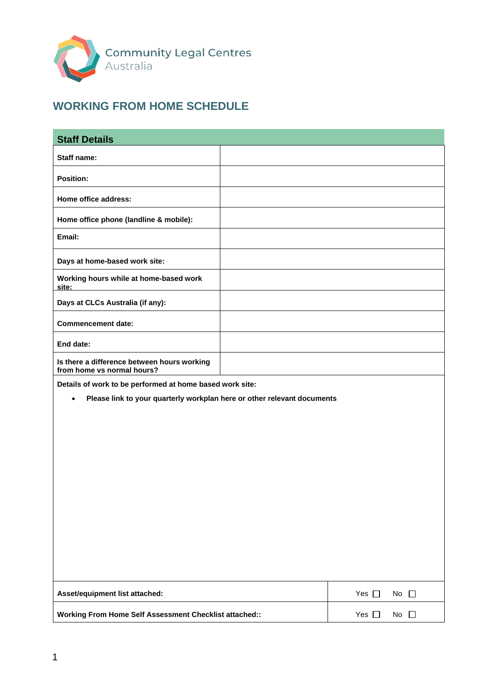

## **WORKING FROM HOME SCHEDULE**

| <b>Staff Details</b>                                                                 |  |
|--------------------------------------------------------------------------------------|--|
| Staff name:                                                                          |  |
| <b>Position:</b>                                                                     |  |
| Home office address:                                                                 |  |
| Home office phone (landline & mobile):                                               |  |
| Email:                                                                               |  |
| Days at home-based work site:                                                        |  |
| Working hours while at home-based work<br>site:                                      |  |
| Days at CLCs Australia (if any):                                                     |  |
| <b>Commencement date:</b>                                                            |  |
| End date:                                                                            |  |
| Is there a difference between hours working<br>from home vs normal hours?            |  |
| Details of work to be performed at home based work site:                             |  |
| Please link to your quarterly workplan here or other relevant documents<br>$\bullet$ |  |
|                                                                                      |  |
|                                                                                      |  |
|                                                                                      |  |
|                                                                                      |  |
|                                                                                      |  |
|                                                                                      |  |
|                                                                                      |  |
|                                                                                      |  |
|                                                                                      |  |

| Asset/equipment list attached:                                | Yes I<br>No. |
|---------------------------------------------------------------|--------------|
| <b>Working From Home Self Assessment Checklist attached::</b> | Yes I<br>No. |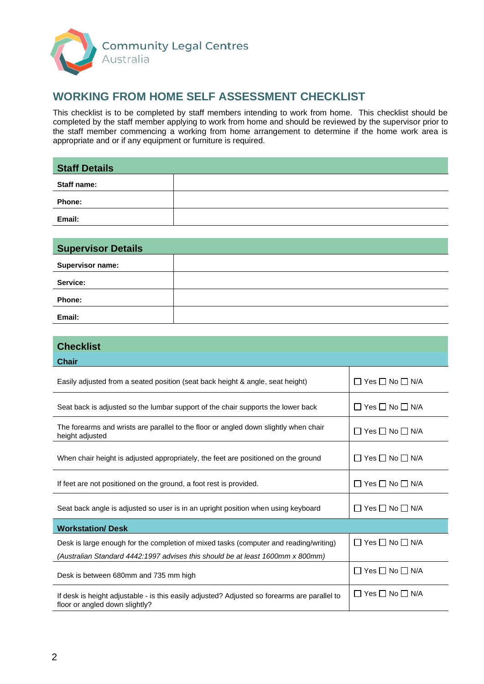

## **WORKING FROM HOME SELF ASSESSMENT CHECKLIST**

This checklist is to be completed by staff members intending to work from home. This checklist should be completed by the staff member applying to work from home and should be reviewed by the supervisor prior to the staff member commencing a working from home arrangement to determine if the home work area is appropriate and or if any equipment or furniture is required.

## **Staff Details**

| <b>Staff name:</b> |  |
|--------------------|--|
| Phone:             |  |
| Email:             |  |

| <b>Supervisor Details</b> |  |
|---------------------------|--|
| <b>Supervisor name:</b>   |  |
| Service:                  |  |
| Phone:                    |  |
| Email:                    |  |

| <b>Checklist</b>                                                                                                               |                                    |  |
|--------------------------------------------------------------------------------------------------------------------------------|------------------------------------|--|
| <b>Chair</b>                                                                                                                   |                                    |  |
| Easily adjusted from a seated position (seat back height & angle, seat height)                                                 | $\Box$ Yes $\Box$ No $\Box$ N/A    |  |
| Seat back is adjusted so the lumbar support of the chair supports the lower back                                               | $\Box$ Yes $\Box$ No $\Box$ N/A    |  |
| The forearms and wrists are parallel to the floor or angled down slightly when chair<br>height adjusted                        | $\Box$ Yes $\Box$ No $\Box$ N/A    |  |
| When chair height is adjusted appropriately, the feet are positioned on the ground                                             | $\Box$ Yes $\Box$ No $\Box$ N/A    |  |
| If feet are not positioned on the ground, a foot rest is provided.                                                             | Yes $\Box$ No $\Box$ N/A<br>$\Box$ |  |
| Seat back angle is adjusted so user is in an upright position when using keyboard                                              | $\Box$ Yes $\Box$ No $\Box$ N/A    |  |
| <b>Workstation/Desk</b>                                                                                                        |                                    |  |
| Desk is large enough for the completion of mixed tasks (computer and reading/writing)                                          | $\Box$ Yes $\Box$ No $\Box$ N/A    |  |
| (Australian Standard 4442:1997 advises this should be at least 1600mm x 800mm)                                                 |                                    |  |
| Desk is between 680mm and 735 mm high                                                                                          | $\Box$ Yes $\Box$ No $\Box$ N/A    |  |
| If desk is height adjustable - is this easily adjusted? Adjusted so forearms are parallel to<br>floor or angled down slightly? | $\Box$ Yes $\Box$ No $\Box$ N/A    |  |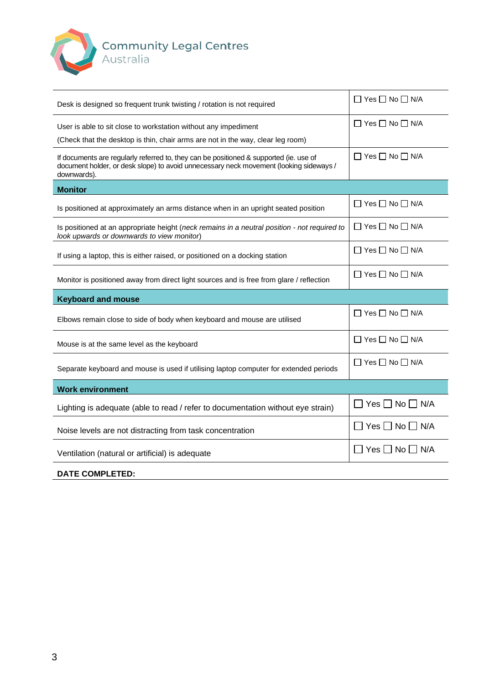

| Desk is designed so frequent trunk twisting / rotation is not required                                                                                                                          | $\Box$ Yes $\Box$ No $\Box$ N/A |  |
|-------------------------------------------------------------------------------------------------------------------------------------------------------------------------------------------------|---------------------------------|--|
| User is able to sit close to workstation without any impediment                                                                                                                                 | $\Box$ Yes $\Box$ No $\Box$ N/A |  |
| (Check that the desktop is thin, chair arms are not in the way, clear leg room)                                                                                                                 |                                 |  |
| If documents are regularly referred to, they can be positioned & supported (ie. use of<br>document holder, or desk slope) to avoid unnecessary neck movement (looking sideways /<br>downwards). | $\Box$ Yes $\Box$ No $\Box$ N/A |  |
| <b>Monitor</b>                                                                                                                                                                                  |                                 |  |
| Is positioned at approximately an arms distance when in an upright seated position                                                                                                              | $\Box$ Yes $\Box$ No $\Box$ N/A |  |
| Is positioned at an appropriate height (neck remains in a neutral position - not required to<br>look upwards or downwards to view monitor)                                                      | $\Box$ Yes $\Box$ No $\Box$ N/A |  |
| If using a laptop, this is either raised, or positioned on a docking station                                                                                                                    | $\Box$ Yes $\Box$ No $\Box$ N/A |  |
| Monitor is positioned away from direct light sources and is free from glare / reflection                                                                                                        | $\Box$ Yes $\Box$ No $\Box$ N/A |  |
| <b>Keyboard and mouse</b>                                                                                                                                                                       |                                 |  |
|                                                                                                                                                                                                 |                                 |  |
| Elbows remain close to side of body when keyboard and mouse are utilised                                                                                                                        | $\Box$ Yes $\Box$ No $\Box$ N/A |  |
| Mouse is at the same level as the keyboard                                                                                                                                                      | $\Box$ Yes $\Box$ No $\Box$ N/A |  |
| Separate keyboard and mouse is used if utilising laptop computer for extended periods                                                                                                           | $\Box$ Yes $\Box$ No $\Box$ N/A |  |
| <b>Work environment</b>                                                                                                                                                                         |                                 |  |
| Lighting is adequate (able to read / refer to documentation without eye strain)                                                                                                                 | $Yes \Box No \Box N/A$          |  |
| Noise levels are not distracting from task concentration                                                                                                                                        | $Yes \Box No \Box N/A$          |  |
| Ventilation (natural or artificial) is adequate                                                                                                                                                 | $\Box$ Yes $\Box$ No $\Box$ N/A |  |

٦